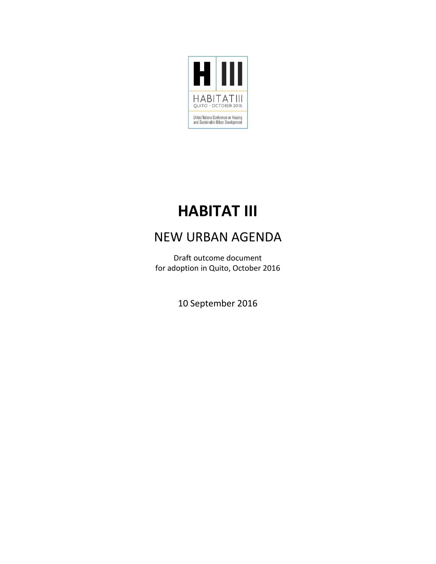

# **HABITAT III**

## NEW URBAN AGENDA

Draft outcome document for adoption in Quito, October 2016

10 September 2016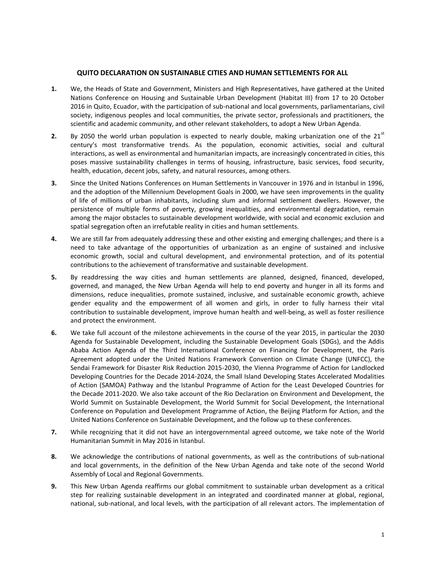#### **QUITO DECLARATION ON SUSTAINABLE CITIES AND HUMAN SETTLEMENTS FOR ALL**

- **1.** We, the Heads of State and Government, Ministers and High Representatives, have gathered at the United Nations Conference on Housing and Sustainable Urban Development (Habitat III) from 17 to 20 October 2016 in Quito, Ecuador, with the participation of sub-national and local governments, parliamentarians, civil society, indigenous peoples and local communities, the private sector, professionals and practitioners, the scientific and academic community, and other relevant stakeholders, to adopt a New Urban Agenda.
- **2.** By 2050 the world urban population is expected to nearly double, making urbanization one of the  $21<sup>st</sup>$ century's most transformative trends. As the population, economic activities, social and cultural interactions, as well as environmental and humanitarian impacts, are increasingly concentrated in cities, this poses massive sustainability challenges in terms of housing, infrastructure, basic services, food security, health, education, decent jobs, safety, and natural resources, among others.
- **3.** Since the United Nations Conferences on Human Settlements in Vancouver in 1976 and in Istanbul in 1996, and the adoption of the Millennium Development Goals in 2000, we have seen improvements in the quality of life of millions of urban inhabitants, including slum and informal settlement dwellers. However, the persistence of multiple forms of poverty, growing inequalities, and environmental degradation, remain among the major obstacles to sustainable development worldwide, with social and economic exclusion and spatial segregation often an irrefutable reality in cities and human settlements.
- **4.** We are still far from adequately addressing these and other existing and emerging challenges; and there is a need to take advantage of the opportunities of urbanization as an engine of sustained and inclusive economic growth, social and cultural development, and environmental protection, and of its potential contributions to the achievement of transformative and sustainable development.
- **5.** By readdressing the way cities and human settlements are planned, designed, financed, developed, governed, and managed, the New Urban Agenda will help to end poverty and hunger in all its forms and dimensions, reduce inequalities, promote sustained, inclusive, and sustainable economic growth, achieve gender equality and the empowerment of all women and girls, in order to fully harness their vital contribution to sustainable development, improve human health and well-being, as well as foster resilience and protect the environment.
- **6.** We take full account of the milestone achievements in the course of the year 2015, in particular the 2030 Agenda for Sustainable Development, including the Sustainable Development Goals (SDGs), and the Addis Ababa Action Agenda of the Third International Conference on Financing for Development, the Paris Agreement adopted under the United Nations Framework Convention on Climate Change (UNFCC), the Sendai Framework for Disaster Risk Reduction 2015-2030, the Vienna Programme of Action for Landlocked Developing Countries for the Decade 2014-2024, the Small Island Developing States Accelerated Modalities of Action (SAMOA) Pathway and the Istanbul Programme of Action for the Least Developed Countries for the Decade 2011-2020. We also take account of the Rio Declaration on Environment and Development, the World Summit on Sustainable Development, the World Summit for Social Development, the International Conference on Population and Development Programme of Action, the Beijing Platform for Action, and the United Nations Conference on Sustainable Development, and the follow up to these conferences.
- **7.** While recognizing that it did not have an intergovernmental agreed outcome, we take note of the World Humanitarian Summit in May 2016 in Istanbul.
- **8.** We acknowledge the contributions of national governments, as well as the contributions of sub-national and local governments, in the definition of the New Urban Agenda and take note of the second World Assembly of Local and Regional Governments.
- **9.** This New Urban Agenda reaffirms our global commitment to sustainable urban development as a critical step for realizing sustainable development in an integrated and coordinated manner at global, regional, national, sub-national, and local levels, with the participation of all relevant actors. The implementation of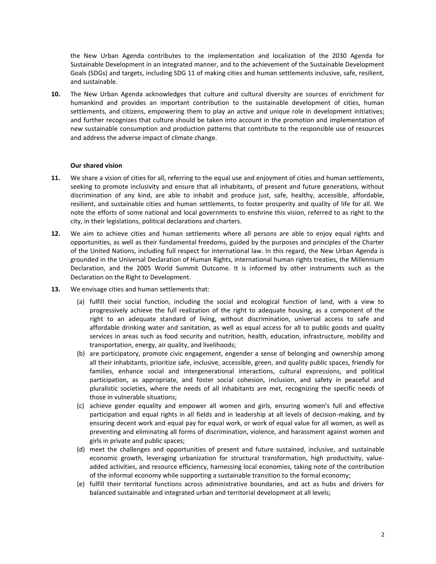the New Urban Agenda contributes to the implementation and localization of the 2030 Agenda for Sustainable Development in an integrated manner, and to the achievement of the Sustainable Development Goals (SDGs) and targets, including SDG 11 of making cities and human settlements inclusive, safe, resilient, and sustainable.

**10.** The New Urban Agenda acknowledges that culture and cultural diversity are sources of enrichment for humankind and provides an important contribution to the sustainable development of cities, human settlements, and citizens, empowering them to play an active and unique role in development initiatives; and further recognizes that culture should be taken into account in the promotion and implementation of new sustainable consumption and production patterns that contribute to the responsible use of resources and address the adverse impact of climate change.

#### **Our shared vision**

- **11.** We share a vision of cities for all, referring to the equal use and enjoyment of cities and human settlements, seeking to promote inclusivity and ensure that all inhabitants, of present and future generations, without discrimination of any kind, are able to inhabit and produce just, safe, healthy, accessible, affordable, resilient, and sustainable cities and human settlements, to foster prosperity and quality of life for all. We note the efforts of some national and local governments to enshrine this vision, referred to as right to the city, in their legislations, political declarations and charters.
- **12.** We aim to achieve cities and human settlements where all persons are able to enjoy equal rights and opportunities, as well as their fundamental freedoms, guided by the purposes and principles of the Charter of the United Nations, including full respect for international law. In this regard, the New Urban Agenda is grounded in the Universal Declaration of Human Rights, international human rights treaties, the Millennium Declaration, and the 2005 World Summit Outcome. It is informed by other instruments such as the Declaration on the Right to Development.
- **13.** We envisage cities and human settlements that:
	- (a) fulfill their social function, including the social and ecological function of land, with a view to progressively achieve the full realization of the right to adequate housing, as a component of the right to an adequate standard of living, without discrimination, universal access to safe and affordable drinking water and sanitation, as well as equal access for all to public goods and quality services in areas such as food security and nutrition, health, education, infrastructure, mobility and transportation, energy, air quality, and livelihoods;
	- (b) are participatory, promote civic engagement, engender a sense of belonging and ownership among all their inhabitants, prioritize safe, inclusive, accessible, green, and quality public spaces, friendly for families, enhance social and intergenerational interactions, cultural expressions, and political participation, as appropriate, and foster social cohesion, inclusion, and safety in peaceful and pluralistic societies, where the needs of all inhabitants are met, recognizing the specific needs of those in vulnerable situations;
	- (c) achieve gender equality and empower all women and girls, ensuring women's full and effective participation and equal rights in all fields and in leadership at all levels of decision-making, and by ensuring decent work and equal pay for equal work, or work of equal value for all women, as well as preventing and eliminating all forms of discrimination, violence, and harassment against women and girls in private and public spaces;
	- (d) meet the challenges and opportunities of present and future sustained, inclusive, and sustainable economic growth, leveraging urbanization for structural transformation, high productivity, valueadded activities, and resource efficiency, harnessing local economies, taking note of the contribution of the informal economy while supporting a sustainable transition to the formal economy;
	- (e) fulfill their territorial functions across administrative boundaries, and act as hubs and drivers for balanced sustainable and integrated urban and territorial development at all levels;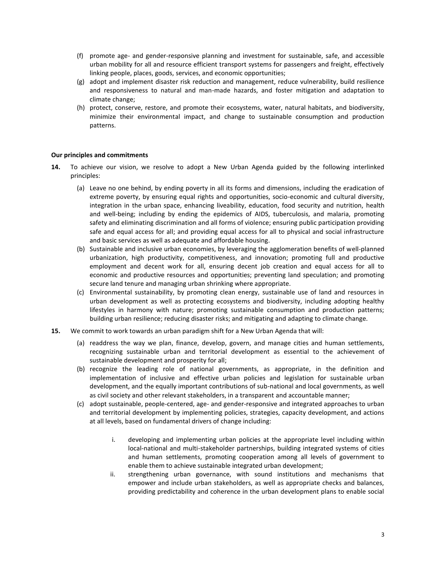- (f) promote age- and gender-responsive planning and investment for sustainable, safe, and accessible urban mobility for all and resource efficient transport systems for passengers and freight, effectively linking people, places, goods, services, and economic opportunities;
- (g) adopt and implement disaster risk reduction and management, reduce vulnerability, build resilience and responsiveness to natural and man-made hazards, and foster mitigation and adaptation to climate change;
- (h) protect, conserve, restore, and promote their ecosystems, water, natural habitats, and biodiversity, minimize their environmental impact, and change to sustainable consumption and production patterns.

#### **Our principles and commitments**

- **14.** To achieve our vision, we resolve to adopt a New Urban Agenda guided by the following interlinked principles:
	- (a) Leave no one behind, by ending poverty in all its forms and dimensions, including the eradication of extreme poverty, by ensuring equal rights and opportunities, socio-economic and cultural diversity, integration in the urban space, enhancing liveability, education, food security and nutrition, health and well-being; including by ending the epidemics of AIDS, tuberculosis, and malaria, promoting safety and eliminating discrimination and all forms of violence; ensuring public participation providing safe and equal access for all; and providing equal access for all to physical and social infrastructure and basic services as well as adequate and affordable housing.
	- (b) Sustainable and inclusive urban economies, by leveraging the agglomeration benefits of well-planned urbanization, high productivity, competitiveness, and innovation; promoting full and productive employment and decent work for all, ensuring decent job creation and equal access for all to economic and productive resources and opportunities; preventing land speculation; and promoting secure land tenure and managing urban shrinking where appropriate.
	- (c) Environmental sustainability, by promoting clean energy, sustainable use of land and resources in urban development as well as protecting ecosystems and biodiversity, including adopting healthy lifestyles in harmony with nature; promoting sustainable consumption and production patterns; building urban resilience; reducing disaster risks; and mitigating and adapting to climate change.
- **15.** We commit to work towards an urban paradigm shift for a New Urban Agenda that will:
	- (a) readdress the way we plan, finance, develop, govern, and manage cities and human settlements, recognizing sustainable urban and territorial development as essential to the achievement of sustainable development and prosperity for all;
	- (b) recognize the leading role of national governments, as appropriate, in the definition and implementation of inclusive and effective urban policies and legislation for sustainable urban development, and the equally important contributions of sub-national and local governments, as well as civil society and other relevant stakeholders, in a transparent and accountable manner;
	- (c) adopt sustainable, people-centered, age- and gender-responsive and integrated approaches to urban and territorial development by implementing policies, strategies, capacity development, and actions at all levels, based on fundamental drivers of change including:
		- i. developing and implementing urban policies at the appropriate level including within local-national and multi-stakeholder partnerships, building integrated systems of cities and human settlements, promoting cooperation among all levels of government to enable them to achieve sustainable integrated urban development;
		- ii. strengthening urban governance, with sound institutions and mechanisms that empower and include urban stakeholders, as well as appropriate checks and balances, providing predictability and coherence in the urban development plans to enable social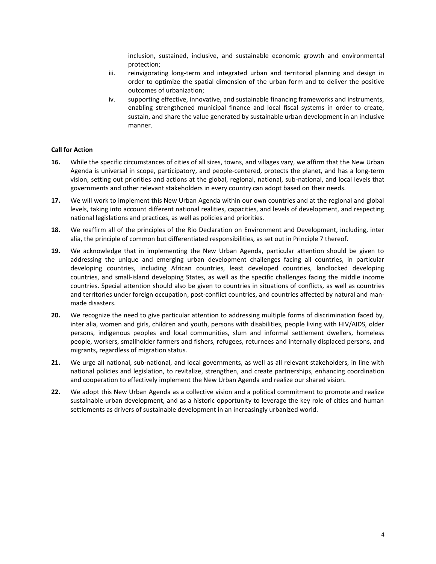inclusion, sustained, inclusive, and sustainable economic growth and environmental protection;

- iii. reinvigorating long-term and integrated urban and territorial planning and design in order to optimize the spatial dimension of the urban form and to deliver the positive outcomes of urbanization;
- iv. supporting effective, innovative, and sustainable financing frameworks and instruments, enabling strengthened municipal finance and local fiscal systems in order to create, sustain, and share the value generated by sustainable urban development in an inclusive manner.

#### **Call for Action**

- **16.** While the specific circumstances of cities of all sizes, towns, and villages vary, we affirm that the New Urban Agenda is universal in scope, participatory, and people-centered, protects the planet, and has a long-term vision, setting out priorities and actions at the global, regional, national, sub-national, and local levels that governments and other relevant stakeholders in every country can adopt based on their needs.
- **17.** We will work to implement this New Urban Agenda within our own countries and at the regional and global levels, taking into account different national realities, capacities, and levels of development, and respecting national legislations and practices, as well as policies and priorities.
- **18.** We reaffirm all of the principles of the Rio Declaration on Environment and Development, including, inter alia, the principle of common but differentiated responsibilities, as set out in Principle 7 thereof.
- **19.** We acknowledge that in implementing the New Urban Agenda, particular attention should be given to addressing the unique and emerging urban development challenges facing all countries, in particular developing countries, including African countries, least developed countries, landlocked developing countries, and small-island developing States, as well as the specific challenges facing the middle income countries. Special attention should also be given to countries in situations of conflicts, as well as countries and territories under foreign occupation, post-conflict countries, and countries affected by natural and manmade disasters.
- **20.** We recognize the need to give particular attention to addressing multiple forms of discrimination faced by, inter alia, women and girls, children and youth, persons with disabilities, people living with HIV/AIDS, older persons, indigenous peoples and local communities, slum and informal settlement dwellers, homeless people, workers, smallholder farmers and fishers, refugees, returnees and internally displaced persons, and migrants**,** regardless of migration status.
- **21.** We urge all national, sub-national, and local governments, as well as all relevant stakeholders, in line with national policies and legislation, to revitalize, strengthen, and create partnerships, enhancing coordination and cooperation to effectively implement the New Urban Agenda and realize our shared vision.
- **22.** We adopt this New Urban Agenda as a collective vision and a political commitment to promote and realize sustainable urban development, and as a historic opportunity to leverage the key role of cities and human settlements as drivers of sustainable development in an increasingly urbanized world.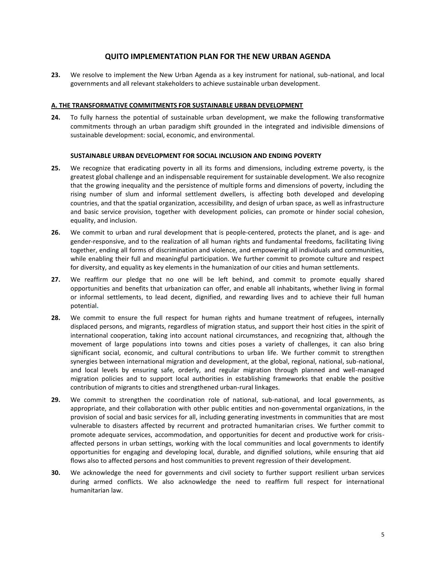### **QUITO IMPLEMENTATION PLAN FOR THE NEW URBAN AGENDA**

**23.** We resolve to implement the New Urban Agenda as a key instrument for national, sub-national, and local governments and all relevant stakeholders to achieve sustainable urban development.

#### **A. THE TRANSFORMATIVE COMMITMENTS FOR SUSTAINABLE URBAN DEVELOPMENT**

**24.** To fully harness the potential of sustainable urban development, we make the following transformative commitments through an urban paradigm shift grounded in the integrated and indivisible dimensions of sustainable development: social, economic, and environmental.

#### **SUSTAINABLE URBAN DEVELOPMENT FOR SOCIAL INCLUSION AND ENDING POVERTY**

- **25.** We recognize that eradicating poverty in all its forms and dimensions, including extreme poverty, is the greatest global challenge and an indispensable requirement for sustainable development. We also recognize that the growing inequality and the persistence of multiple forms and dimensions of poverty, including the rising number of slum and informal settlement dwellers, is affecting both developed and developing countries, and that the spatial organization, accessibility, and design of urban space, as well as infrastructure and basic service provision, together with development policies, can promote or hinder social cohesion, equality, and inclusion.
- **26.** We commit to urban and rural development that is people-centered, protects the planet, and is age- and gender-responsive, and to the realization of all human rights and fundamental freedoms, facilitating living together, ending all forms of discrimination and violence, and empowering all individuals and communities, while enabling their full and meaningful participation. We further commit to promote culture and respect for diversity, and equality as key elements in the humanization of our cities and human settlements.
- **27.** We reaffirm our pledge that no one will be left behind, and commit to promote equally shared opportunities and benefits that urbanization can offer, and enable all inhabitants, whether living in formal or informal settlements, to lead decent, dignified, and rewarding lives and to achieve their full human potential**.**
- **28.** We commit to ensure the full respect for human rights and humane treatment of refugees, internally displaced persons, and migrants, regardless of migration status, and support their host cities in the spirit of international cooperation, taking into account national circumstances, and recognizing that, although the movement of large populations into towns and cities poses a variety of challenges, it can also bring significant social, economic, and cultural contributions to urban life. We further commit to strengthen synergies between international migration and development, at the global, regional, national, sub-national, and local levels by ensuring safe, orderly, and regular migration through planned and well-managed migration policies and to support local authorities in establishing frameworks that enable the positive contribution of migrants to cities and strengthened urban-rural linkages.
- **29.** We commit to strengthen the coordination role of national, sub-national, and local governments, as appropriate, and their collaboration with other public entities and non-governmental organizations, in the provision of social and basic services for all, including generating investments in communities that are most vulnerable to disasters affected by recurrent and protracted humanitarian crises. We further commit to promote adequate services, accommodation, and opportunities for decent and productive work for crisisaffected persons in urban settings, working with the local communities and local governments to identify opportunities for engaging and developing local, durable, and dignified solutions, while ensuring that aid flows also to affected persons and host communities to prevent regression of their development.
- **30.** We acknowledge the need for governments and civil society to further support resilient urban services during armed conflicts. We also acknowledge the need to reaffirm full respect for international humanitarian law.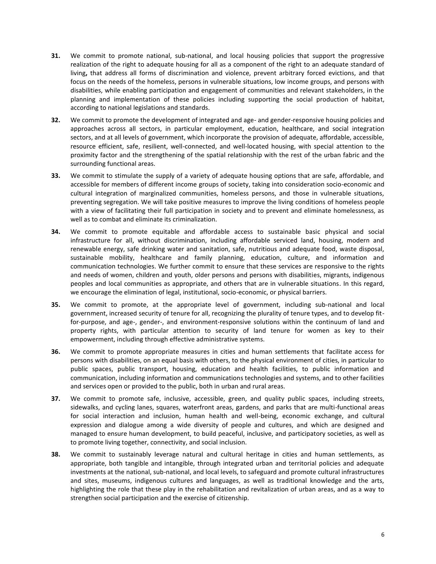- **31.** We commit to promote national, sub-national, and local housing policies that support the progressive realization of the right to adequate housing for all as a component of the right to an adequate standard of living**,** that address all forms of discrimination and violence, prevent arbitrary forced evictions, and that focus on the needs of the homeless, persons in vulnerable situations, low income groups, and persons with disabilities, while enabling participation and engagement of communities and relevant stakeholders, in the planning and implementation of these policies including supporting the social production of habitat, according to national legislations and standards.
- **32.** We commit to promote the development of integrated and age- and gender-responsive housing policies and approaches across all sectors, in particular employment, education, healthcare, and social integration sectors, and at all levels of government, which incorporate the provision of adequate, affordable, accessible, resource efficient, safe, resilient, well-connected, and well-located housing, with special attention to the proximity factor and the strengthening of the spatial relationship with the rest of the urban fabric and the surrounding functional areas.
- **33.** We commit to stimulate the supply of a variety of adequate housing options that are safe, affordable, and accessible for members of different income groups of society, taking into consideration socio-economic and cultural integration of marginalized communities, homeless persons, and those in vulnerable situations, preventing segregation. We will take positive measures to improve the living conditions of homeless people with a view of facilitating their full participation in society and to prevent and eliminate homelessness, as well as to combat and eliminate its criminalization.
- **34.** We commit to promote equitable and affordable access to sustainable basic physical and social infrastructure for all, without discrimination, including affordable serviced land, housing, modern and renewable energy, safe drinking water and sanitation, safe, nutritious and adequate food, waste disposal, sustainable mobility, healthcare and family planning, education, culture, and information and communication technologies. We further commit to ensure that these services are responsive to the rights and needs of women, children and youth, older persons and persons with disabilities, migrants, indigenous peoples and local communities as appropriate, and others that are in vulnerable situations. In this regard, we encourage the elimination of legal, institutional, socio-economic, or physical barriers.
- **35.** We commit to promote, at the appropriate level of government, including sub-national and local government, increased security of tenure for all, recognizing the plurality of tenure types, and to develop fitfor-purpose, and age-, gender-, and environment-responsive solutions within the continuum of land and property rights, with particular attention to security of land tenure for women as key to their empowerment, including through effective administrative systems.
- **36.** We commit to promote appropriate measures in cities and human settlements that facilitate access for persons with disabilities, on an equal basis with others, to the physical environment of cities, in particular to public spaces, public transport, housing, education and health facilities, to public information and communication, including information and communications technologies and systems, and to other facilities and services open or provided to the public, both in urban and rural areas.
- **37.** We commit to promote safe, inclusive, accessible, green, and quality public spaces, including streets, sidewalks, and cycling lanes, squares, waterfront areas, gardens, and parks that are multi-functional areas for social interaction and inclusion, human health and well-being, economic exchange, and cultural expression and dialogue among a wide diversity of people and cultures, and which are designed and managed to ensure human development, to build peaceful, inclusive, and participatory societies, as well as to promote living together, connectivity, and social inclusion.
- **38.** We commit to sustainably leverage natural and cultural heritage in cities and human settlements, as appropriate, both tangible and intangible, through integrated urban and territorial policies and adequate investments at the national, sub-national, and local levels, to safeguard and promote cultural infrastructures and sites, museums, indigenous cultures and languages, as well as traditional knowledge and the arts, highlighting the role that these play in the rehabilitation and revitalization of urban areas, and as a way to strengthen social participation and the exercise of citizenship.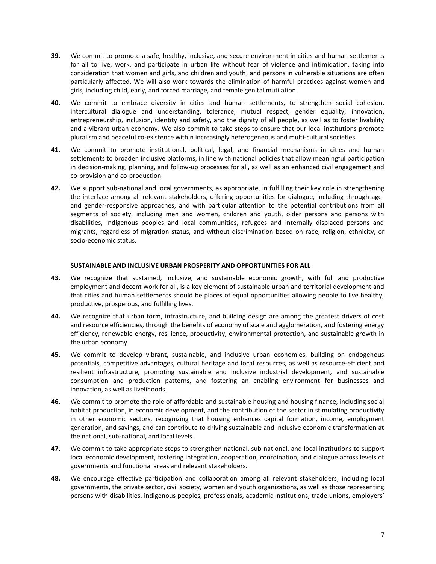- **39.** We commit to promote a safe, healthy, inclusive, and secure environment in cities and human settlements for all to live, work, and participate in urban life without fear of violence and intimidation, taking into consideration that women and girls, and children and youth, and persons in vulnerable situations are often particularly affected. We will also work towards the elimination of harmful practices against women and girls, including child, early, and forced marriage, and female genital mutilation.
- **40.** We commit to embrace diversity in cities and human settlements, to strengthen social cohesion, intercultural dialogue and understanding, tolerance, mutual respect, gender equality, innovation, entrepreneurship, inclusion, identity and safety, and the dignity of all people, as well as to foster livability and a vibrant urban economy. We also commit to take steps to ensure that our local institutions promote pluralism and peaceful co-existence within increasingly heterogeneous and multi-cultural societies.
- **41.** We commit to promote institutional, political, legal, and financial mechanisms in cities and human settlements to broaden inclusive platforms, in line with national policies that allow meaningful participation in decision-making, planning, and follow-up processes for all, as well as an enhanced civil engagement and co-provision and co-production.
- **42.** We support sub-national and local governments, as appropriate, in fulfilling their key role in strengthening the interface among all relevant stakeholders, offering opportunities for dialogue, including through ageand gender-responsive approaches, and with particular attention to the potential contributions from all segments of society, including men and women, children and youth, older persons and persons with disabilities, indigenous peoples and local communities, refugees and internally displaced persons and migrants, regardless of migration status, and without discrimination based on race, religion, ethnicity, or socio-economic status.

#### **SUSTAINABLE AND INCLUSIVE URBAN PROSPERITY AND OPPORTUNITIES FOR ALL**

- **43.** We recognize that sustained, inclusive, and sustainable economic growth, with full and productive employment and decent work for all, is a key element of sustainable urban and territorial development and that cities and human settlements should be places of equal opportunities allowing people to live healthy, productive, prosperous, and fulfilling lives.
- **44.** We recognize that urban form, infrastructure, and building design are among the greatest drivers of cost and resource efficiencies, through the benefits of economy of scale and agglomeration, and fostering energy efficiency, renewable energy, resilience, productivity, environmental protection, and sustainable growth in the urban economy.
- **45.** We commit to develop vibrant, sustainable, and inclusive urban economies, building on endogenous potentials, competitive advantages, cultural heritage and local resources, as well as resource-efficient and resilient infrastructure, promoting sustainable and inclusive industrial development, and sustainable consumption and production patterns, and fostering an enabling environment for businesses and innovation, as well as livelihoods.
- **46.** We commit to promote the role of affordable and sustainable housing and housing finance, including social habitat production, in economic development, and the contribution of the sector in stimulating productivity in other economic sectors, recognizing that housing enhances capital formation, income, employment generation, and savings, and can contribute to driving sustainable and inclusive economic transformation at the national, sub-national, and local levels.
- **47.** We commit to take appropriate steps to strengthen national, sub-national, and local institutions to support local economic development, fostering integration, cooperation, coordination, and dialogue across levels of governments and functional areas and relevant stakeholders.
- **48.** We encourage effective participation and collaboration among all relevant stakeholders, including local governments, the private sector, civil society, women and youth organizations, as well as those representing persons with disabilities, indigenous peoples, professionals, academic institutions, trade unions, employers'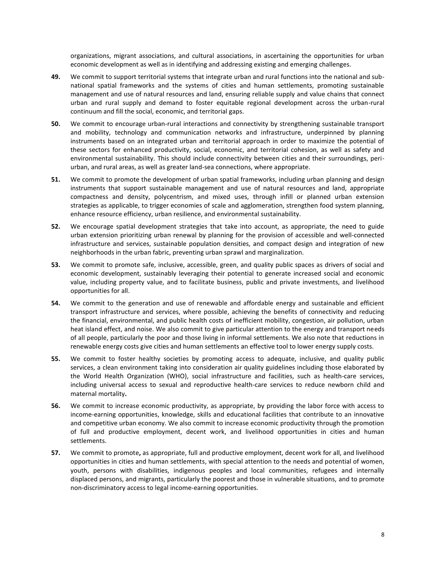organizations, migrant associations, and cultural associations, in ascertaining the opportunities for urban economic development as well as in identifying and addressing existing and emerging challenges.

- **49.** We commit to support territorial systems that integrate urban and rural functions into the national and subnational spatial frameworks and the systems of cities and human settlements, promoting sustainable management and use of natural resources and land, ensuring reliable supply and value chains that connect urban and rural supply and demand to foster equitable regional development across the urban-rural continuum and fill the social, economic, and territorial gaps.
- **50.** We commit to encourage urban-rural interactions and connectivity by strengthening sustainable transport and mobility, technology and communication networks and infrastructure, underpinned by planning instruments based on an integrated urban and territorial approach in order to maximize the potential of these sectors for enhanced productivity, social, economic, and territorial cohesion, as well as safety and environmental sustainability. This should include connectivity between cities and their surroundings, periurban, and rural areas, as well as greater land-sea connections, where appropriate.
- **51.** We commit to promote the development of urban spatial frameworks, including urban planning and design instruments that support sustainable management and use of natural resources and land, appropriate compactness and density, polycentrism, and mixed uses, through infill or planned urban extension strategies as applicable, to trigger economies of scale and agglomeration, strengthen food system planning, enhance resource efficiency, urban resilience, and environmental sustainability.
- **52.** We encourage spatial development strategies that take into account, as appropriate, the need to guide urban extension prioritizing urban renewal by planning for the provision of accessible and well-connected infrastructure and services, sustainable population densities, and compact design and integration of new neighborhoods in the urban fabric, preventing urban sprawl and marginalization.
- **53.** We commit to promote safe, inclusive, accessible, green, and quality public spaces as drivers of social and economic development, sustainably leveraging their potential to generate increased social and economic value, including property value, and to facilitate business, public and private investments, and livelihood opportunities for all.
- **54.** We commit to the generation and use of renewable and affordable energy and sustainable and efficient transport infrastructure and services, where possible, achieving the benefits of connectivity and reducing the financial, environmental, and public health costs of inefficient mobility, congestion, air pollution, urban heat island effect, and noise. We also commit to give particular attention to the energy and transport needs of all people, particularly the poor and those living in informal settlements. We also note that reductions in renewable energy costs give cities and human settlements an effective tool to lower energy supply costs.
- **55.** We commit to foster healthy societies by promoting access to adequate, inclusive, and quality public services, a clean environment taking into consideration air quality guidelines including those elaborated by the World Health Organization (WHO), social infrastructure and facilities, such as health-care services, including universal access to sexual and reproductive health-care services to reduce newborn child and maternal mortality**.**
- **56.** We commit to increase economic productivity, as appropriate, by providing the labor force with access to income-earning opportunities, knowledge, skills and educational facilities that contribute to an innovative and competitive urban economy. We also commit to increase economic productivity through the promotion of full and productive employment, decent work, and livelihood opportunities in cities and human settlements.
- **57.** We commit to promote**,** as appropriate, full and productive employment, decent work for all, and livelihood opportunities in cities and human settlements, with special attention to the needs and potential of women, youth, persons with disabilities, indigenous peoples and local communities, refugees and internally displaced persons, and migrants, particularly the poorest and those in vulnerable situations, and to promote non-discriminatory access to legal income-earning opportunities.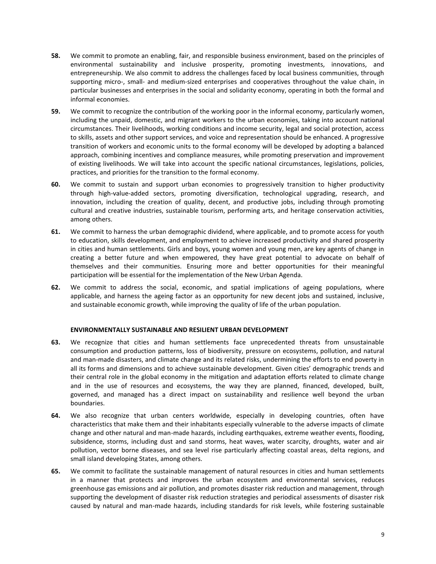- **58.** We commit to promote an enabling, fair, and responsible business environment, based on the principles of environmental sustainability and inclusive prosperity, promoting investments, innovations, and entrepreneurship. We also commit to address the challenges faced by local business communities, through supporting micro-, small- and medium-sized enterprises and cooperatives throughout the value chain, in particular businesses and enterprises in the social and solidarity economy, operating in both the formal and informal economies.
- **59.** We commit to recognize the contribution of the working poor in the informal economy, particularly women, including the unpaid, domestic, and migrant workers to the urban economies, taking into account national circumstances. Their livelihoods, working conditions and income security, legal and social protection, access to skills, assets and other support services, and voice and representation should be enhanced. A progressive transition of workers and economic units to the formal economy will be developed by adopting a balanced approach, combining incentives and compliance measures, while promoting preservation and improvement of existing livelihoods. We will take into account the specific national circumstances, legislations, policies, practices, and priorities for the transition to the formal economy.
- **60.** We commit to sustain and support urban economies to progressively transition to higher productivity through high-value-added sectors, promoting diversification, technological upgrading, research, and innovation, including the creation of quality, decent, and productive jobs, including through promoting cultural and creative industries, sustainable tourism, performing arts, and heritage conservation activities, among others.
- **61.** We commit to harness the urban demographic dividend, where applicable, and to promote access for youth to education, skills development, and employment to achieve increased productivity and shared prosperity in cities and human settlements. Girls and boys, young women and young men, are key agents of change in creating a better future and when empowered, they have great potential to advocate on behalf of themselves and their communities. Ensuring more and better opportunities for their meaningful participation will be essential for the implementation of the New Urban Agenda.
- **62.** We commit to address the social, economic, and spatial implications of ageing populations, where applicable, and harness the ageing factor as an opportunity for new decent jobs and sustained, inclusive, and sustainable economic growth, while improving the quality of life of the urban population.

#### **ENVIRONMENTALLY SUSTAINABLE AND RESILIENT URBAN DEVELOPMENT**

- **63.** We recognize that cities and human settlements face unprecedented threats from unsustainable consumption and production patterns, loss of biodiversity, pressure on ecosystems, pollution, and natural and man-made disasters, and climate change and its related risks, undermining the efforts to end poverty in all its forms and dimensions and to achieve sustainable development. Given cities' demographic trends and their central role in the global economy in the mitigation and adaptation efforts related to climate change and in the use of resources and ecosystems, the way they are planned, financed, developed, built, governed, and managed has a direct impact on sustainability and resilience well beyond the urban boundaries.
- **64.** We also recognize that urban centers worldwide, especially in developing countries, often have characteristics that make them and their inhabitants especially vulnerable to the adverse impacts of climate change and other natural and man-made hazards, including earthquakes, extreme weather events, flooding, subsidence, storms, including dust and sand storms, heat waves, water scarcity, droughts, water and air pollution, vector borne diseases, and sea level rise particularly affecting coastal areas, delta regions, and small island developing States, among others.
- **65.** We commit to facilitate the sustainable management of natural resources in cities and human settlements in a manner that protects and improves the urban ecosystem and environmental services, reduces greenhouse gas emissions and air pollution, and promotes disaster risk reduction and management, through supporting the development of disaster risk reduction strategies and periodical assessments of disaster risk caused by natural and man-made hazards, including standards for risk levels, while fostering sustainable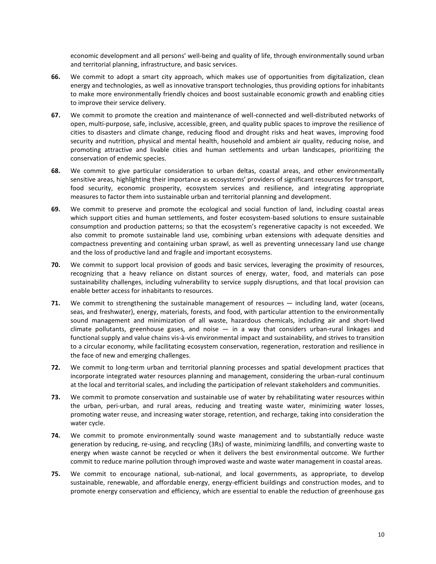economic development and all persons' well-being and quality of life, through environmentally sound urban and territorial planning, infrastructure, and basic services.

- **66.** We commit to adopt a smart city approach, which makes use of opportunities from digitalization, clean energy and technologies, as well as innovative transport technologies, thus providing options for inhabitants to make more environmentally friendly choices and boost sustainable economic growth and enabling cities to improve their service delivery.
- **67.** We commit to promote the creation and maintenance of well-connected and well-distributed networks of open, multi-purpose, safe, inclusive, accessible, green, and quality public spaces to improve the resilience of cities to disasters and climate change, reducing flood and drought risks and heat waves, improving food security and nutrition, physical and mental health, household and ambient air quality, reducing noise, and promoting attractive and livable cities and human settlements and urban landscapes, prioritizing the conservation of endemic species.
- **68.** We commit to give particular consideration to urban deltas, coastal areas, and other environmentally sensitive areas, highlighting their importance as ecosystems' providers of significant resources for transport, food security, economic prosperity, ecosystem services and resilience, and integrating appropriate measures to factor them into sustainable urban and territorial planning and development.
- **69.** We commit to preserve and promote the ecological and social function of land, including coastal areas which support cities and human settlements, and foster ecosystem-based solutions to ensure sustainable consumption and production patterns; so that the ecosystem's regenerative capacity is not exceeded. We also commit to promote sustainable land use, combining urban extensions with adequate densities and compactness preventing and containing urban sprawl, as well as preventing unnecessary land use change and the loss of productive land and fragile and important ecosystems.
- **70.** We commit to support local provision of goods and basic services, leveraging the proximity of resources, recognizing that a heavy reliance on distant sources of energy, water, food, and materials can pose sustainability challenges, including vulnerability to service supply disruptions, and that local provision can enable better access for inhabitants to resources.
- **71.** We commit to strengthening the sustainable management of resources including land, water (oceans, seas, and freshwater), energy, materials, forests, and food, with particular attention to the environmentally sound management and minimization of all waste, hazardous chemicals, including air and short-lived climate pollutants, greenhouse gases, and noise — in a way that considers urban-rural linkages and functional supply and value chains vis-à-vis environmental impact and sustainability, and strives to transition to a circular economy, while facilitating ecosystem conservation, regeneration, restoration and resilience in the face of new and emerging challenges.
- **72.** We commit to long-term urban and territorial planning processes and spatial development practices that incorporate integrated water resources planning and management, considering the urban-rural continuum at the local and territorial scales, and including the participation of relevant stakeholders and communities.
- **73.** We commit to promote conservation and sustainable use of water by rehabilitating water resources within the urban, peri-urban, and rural areas, reducing and treating waste water, minimizing water losses, promoting water reuse, and increasing water storage, retention, and recharge, taking into consideration the water cycle.
- **74.** We commit to promote environmentally sound waste management and to substantially reduce waste generation by reducing, re-using, and recycling (3Rs) of waste, minimizing landfills, and converting waste to energy when waste cannot be recycled or when it delivers the best environmental outcome. We further commit to reduce marine pollution through improved waste and waste water management in coastal areas.
- **75.** We commit to encourage national, sub-national, and local governments, as appropriate, to develop sustainable, renewable, and affordable energy, energy-efficient buildings and construction modes, and to promote energy conservation and efficiency, which are essential to enable the reduction of greenhouse gas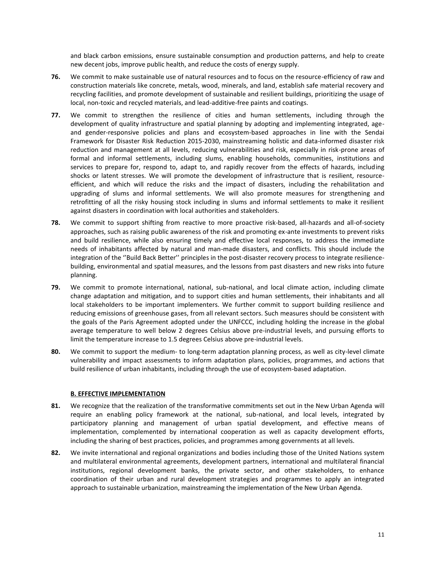and black carbon emissions, ensure sustainable consumption and production patterns, and help to create new decent jobs, improve public health, and reduce the costs of energy supply.

- **76.** We commit to make sustainable use of natural resources and to focus on the resource-efficiency of raw and construction materials like concrete, metals, wood, minerals, and land, establish safe material recovery and recycling facilities, and promote development of sustainable and resilient buildings, prioritizing the usage of local, non-toxic and recycled materials, and lead-additive-free paints and coatings.
- **77.** We commit to strengthen the resilience of cities and human settlements, including through the development of quality infrastructure and spatial planning by adopting and implementing integrated, ageand gender-responsive policies and plans and ecosystem-based approaches in line with the Sendai Framework for Disaster Risk Reduction 2015-2030, mainstreaming holistic and data-informed disaster risk reduction and management at all levels, reducing vulnerabilities and risk, especially in risk-prone areas of formal and informal settlements, including slums, enabling households, communities, institutions and services to prepare for, respond to, adapt to, and rapidly recover from the effects of hazards, including shocks or latent stresses. We will promote the development of infrastructure that is resilient, resourceefficient, and which will reduce the risks and the impact of disasters, including the rehabilitation and upgrading of slums and informal settlements. We will also promote measures for strengthening and retrofitting of all the risky housing stock including in slums and informal settlements to make it resilient against disasters in coordination with local authorities and stakeholders.
- **78.** We commit to support shifting from reactive to more proactive risk-based, all-hazards and all-of-society approaches, such as raising public awareness of the risk and promoting ex-ante investments to prevent risks and build resilience, while also ensuring timely and effective local responses, to address the immediate needs of inhabitants affected by natural and man-made disasters, and conflicts. This should include the integration of the ''Build Back Better'' principles in the post-disaster recovery process to integrate resiliencebuilding, environmental and spatial measures, and the lessons from past disasters and new risks into future planning.
- **79.** We commit to promote international, national, sub-national, and local climate action, including climate change adaptation and mitigation, and to support cities and human settlements, their inhabitants and all local stakeholders to be important implementers. We further commit to support building resilience and reducing emissions of greenhouse gases, from all relevant sectors. Such measures should be consistent with the goals of the Paris Agreement adopted under the UNFCCC, including holding the increase in the global average temperature to well below 2 degrees Celsius above pre-industrial levels, and pursuing efforts to limit the temperature increase to 1.5 degrees Celsius above pre-industrial levels.
- **80.** We commit to support the medium- to long-term adaptation planning process, as well as city-level climate vulnerability and impact assessments to inform adaptation plans, policies, programmes, and actions that build resilience of urban inhabitants, including through the use of ecosystem-based adaptation.

#### **B. EFFECTIVE IMPLEMENTATION**

- **81.** We recognize that the realization of the transformative commitments set out in the New Urban Agenda will require an enabling policy framework at the national, sub-national, and local levels, integrated by participatory planning and management of urban spatial development, and effective means of implementation, complemented by international cooperation as well as capacity development efforts, including the sharing of best practices, policies, and programmes among governments at all levels.
- **82.** We invite international and regional organizations and bodies including those of the United Nations system and multilateral environmental agreements, development partners, international and multilateral financial institutions, regional development banks, the private sector, and other stakeholders, to enhance coordination of their urban and rural development strategies and programmes to apply an integrated approach to sustainable urbanization, mainstreaming the implementation of the New Urban Agenda.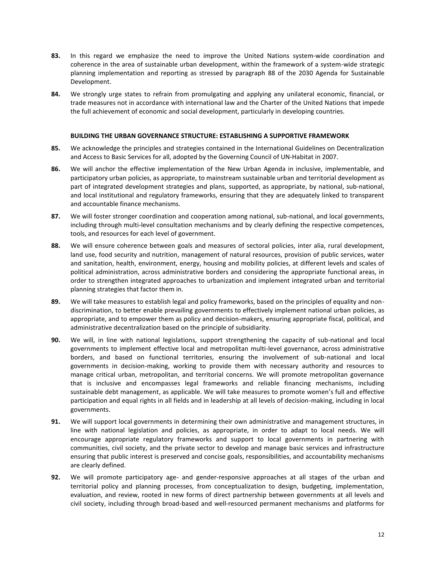- **83.** In this regard we emphasize the need to improve the United Nations system-wide coordination and coherence in the area of sustainable urban development, within the framework of a system-wide strategic planning implementation and reporting as stressed by paragraph 88 of the 2030 Agenda for Sustainable Development.
- **84.** We strongly urge states to refrain from promulgating and applying any unilateral economic, financial, or trade measures not in accordance with international law and the Charter of the United Nations that impede the full achievement of economic and social development, particularly in developing countries.

#### **BUILDING THE URBAN GOVERNANCE STRUCTURE: ESTABLISHING A SUPPORTIVE FRAMEWORK**

- **85.** We acknowledge the principles and strategies contained in the International Guidelines on Decentralization and Access to Basic Services for all, adopted by the Governing Council of UN-Habitat in 2007.
- **86.** We will anchor the effective implementation of the New Urban Agenda in inclusive, implementable, and participatory urban policies, as appropriate, to mainstream sustainable urban and territorial development as part of integrated development strategies and plans, supported, as appropriate, by national, sub-national, and local institutional and regulatory frameworks, ensuring that they are adequately linked to transparent and accountable finance mechanisms.
- **87.** We will foster stronger coordination and cooperation among national, sub-national, and local governments, including through multi-level consultation mechanisms and by clearly defining the respective competences, tools, and resources for each level of government.
- **88.** We will ensure coherence between goals and measures of sectoral policies, inter alia, rural development, land use, food security and nutrition, management of natural resources, provision of public services, water and sanitation, health, environment, energy, housing and mobility policies, at different levels and scales of political administration, across administrative borders and considering the appropriate functional areas, in order to strengthen integrated approaches to urbanization and implement integrated urban and territorial planning strategies that factor them in.
- **89.** We will take measures to establish legal and policy frameworks, based on the principles of equality and nondiscrimination, to better enable prevailing governments to effectively implement national urban policies, as appropriate, and to empower them as policy and decision-makers, ensuring appropriate fiscal, political, and administrative decentralization based on the principle of subsidiarity.
- **90.** We will, in line with national legislations, support strengthening the capacity of sub-national and local governments to implement effective local and metropolitan multi-level governance, across administrative borders, and based on functional territories, ensuring the involvement of sub-national and local governments in decision-making, working to provide them with necessary authority and resources to manage critical urban, metropolitan, and territorial concerns. We will promote metropolitan governance that is inclusive and encompasses legal frameworks and reliable financing mechanisms, including sustainable debt management, as applicable. We will take measures to promote women's full and effective participation and equal rights in all fields and in leadership at all levels of decision-making, including in local governments.
- **91.** We will support local governments in determining their own administrative and management structures, in line with national legislation and policies, as appropriate, in order to adapt to local needs. We will encourage appropriate regulatory frameworks and support to local governments in partnering with communities, civil society, and the private sector to develop and manage basic services and infrastructure ensuring that public interest is preserved and concise goals, responsibilities, and accountability mechanisms are clearly defined.
- **92.** We will promote participatory age- and gender-responsive approaches at all stages of the urban and territorial policy and planning processes, from conceptualization to design, budgeting, implementation, evaluation, and review, rooted in new forms of direct partnership between governments at all levels and civil society, including through broad-based and well-resourced permanent mechanisms and platforms for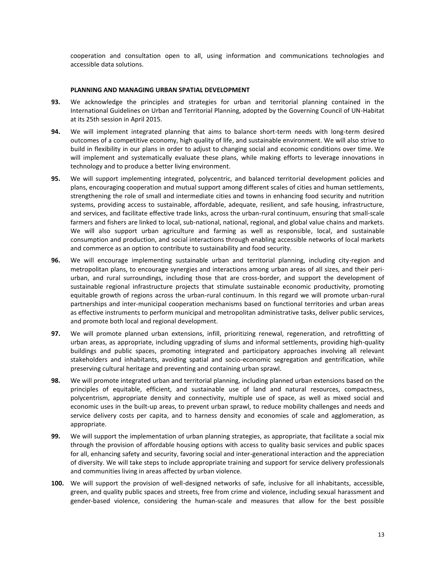cooperation and consultation open to all, using information and communications technologies and accessible data solutions.

#### **PLANNING AND MANAGING URBAN SPATIAL DEVELOPMENT**

- **93.** We acknowledge the principles and strategies for urban and territorial planning contained in the International Guidelines on Urban and Territorial Planning, adopted by the Governing Council of UN-Habitat at its 25th session in April 2015.
- **94.** We will implement integrated planning that aims to balance short-term needs with long-term desired outcomes of a competitive economy, high quality of life, and sustainable environment. We will also strive to build in flexibility in our plans in order to adjust to changing social and economic conditions over time. We will implement and systematically evaluate these plans, while making efforts to leverage innovations in technology and to produce a better living environment.
- **95.** We will support implementing integrated, polycentric, and balanced territorial development policies and plans, encouraging cooperation and mutual support among different scales of cities and human settlements, strengthening the role of small and intermediate cities and towns in enhancing food security and nutrition systems, providing access to sustainable, affordable, adequate, resilient, and safe housing, infrastructure, and services, and facilitate effective trade links, across the urban-rural continuum, ensuring that small-scale farmers and fishers are linked to local, sub-national, national, regional, and global value chains and markets. We will also support urban agriculture and farming as well as responsible, local, and sustainable consumption and production, and social interactions through enabling accessible networks of local markets and commerce as an option to contribute to sustainability and food security.
- **96.** We will encourage implementing sustainable urban and territorial planning, including city-region and metropolitan plans, to encourage synergies and interactions among urban areas of all sizes, and their periurban, and rural surroundings, including those that are cross-border, and support the development of sustainable regional infrastructure projects that stimulate sustainable economic productivity, promoting equitable growth of regions across the urban-rural continuum. In this regard we will promote urban-rural partnerships and inter-municipal cooperation mechanisms based on functional territories and urban areas as effective instruments to perform municipal and metropolitan administrative tasks, deliver public services, and promote both local and regional development.
- **97.** We will promote planned urban extensions, infill, prioritizing renewal, regeneration, and retrofitting of urban areas, as appropriate, including upgrading of slums and informal settlements, providing high-quality buildings and public spaces, promoting integrated and participatory approaches involving all relevant stakeholders and inhabitants, avoiding spatial and socio-economic segregation and gentrification, while preserving cultural heritage and preventing and containing urban sprawl.
- **98.** We will promote integrated urban and territorial planning, including planned urban extensions based on the principles of equitable, efficient, and sustainable use of land and natural resources, compactness, polycentrism, appropriate density and connectivity, multiple use of space, as well as mixed social and economic uses in the built-up areas, to prevent urban sprawl, to reduce mobility challenges and needs and service delivery costs per capita, and to harness density and economies of scale and agglomeration, as appropriate.
- **99.** We will support the implementation of urban planning strategies, as appropriate, that facilitate a social mix through the provision of affordable housing options with access to quality basic services and public spaces for all, enhancing safety and security, favoring social and inter-generational interaction and the appreciation of diversity. We will take steps to include appropriate training and support for service delivery professionals and communities living in areas affected by urban violence.
- **100.** We will support the provision of well-designed networks of safe, inclusive for all inhabitants, accessible, green, and quality public spaces and streets, free from crime and violence, including sexual harassment and gender-based violence, considering the human-scale and measures that allow for the best possible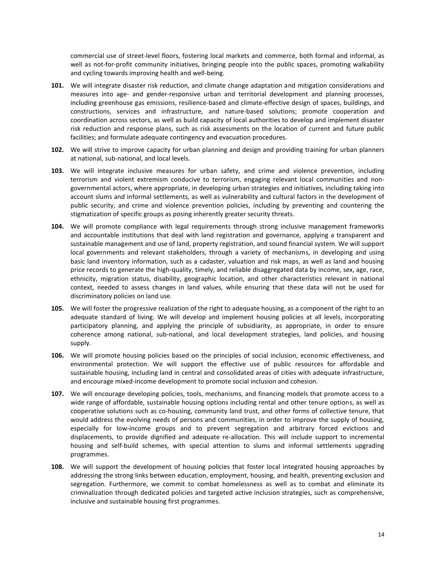commercial use of street-level floors, fostering local markets and commerce, both formal and informal, as well as not-for-profit community initiatives, bringing people into the public spaces, promoting walkability and cycling towards improving health and well-being.

- **101.** We will integrate disaster risk reduction, and climate change adaptation and mitigation considerations and measures into age- and gender-responsive urban and territorial development and planning processes, including greenhouse gas emissions, resilience-based and climate-effective design of spaces, buildings, and constructions, services and infrastructure, and nature-based solutions; promote cooperation and coordination across sectors, as well as build capacity of local authorities to develop and implement disaster risk reduction and response plans, such as risk assessments on the location of current and future public facilities; and formulate adequate contingency and evacuation procedures.
- **102.** We will strive to improve capacity for urban planning and design and providing training for urban planners at national, sub-national, and local levels.
- **103.** We will integrate inclusive measures for urban safety, and crime and violence prevention, including terrorism and violent extremism conducive to terrorism, engaging relevant local communities and nongovernmental actors, where appropriate, in developing urban strategies and initiatives, including taking into account slums and informal settlements, as well as vulnerability and cultural factors in the development of public security, and crime and violence prevention policies, including by preventing and countering the stigmatization of specific groups as posing inherently greater security threats.
- **104.** We will promote compliance with legal requirements through strong inclusive management frameworks and accountable institutions that deal with land registration and governance, applying a transparent and sustainable management and use of land, property registration, and sound financial system. We will support local governments and relevant stakeholders, through a variety of mechanisms, in developing and using basic land inventory information, such as a cadaster, valuation and risk maps, as well as land and housing price records to generate the high-quality, timely, and reliable disaggregated data by income, sex, age, race, ethnicity, migration status, disability, geographic location, and other characteristics relevant in national context, needed to assess changes in land values, while ensuring that these data will not be used for discriminatory policies on land use.
- **105.** We will foster the progressive realization of the right to adequate housing, as a component of the right to an adequate standard of living. We will develop and implement housing policies at all levels, incorporating participatory planning, and applying the principle of subsidiarity, as appropriate, in order to ensure coherence among national, sub-national, and local development strategies, land policies, and housing supply.
- **106.** We will promote housing policies based on the principles of social inclusion, economic effectiveness, and environmental protection. We will support the effective use of public resources for affordable and sustainable housing, including land in central and consolidated areas of cities with adequate infrastructure, and encourage mixed-income development to promote social inclusion and cohesion.
- **107.** We will encourage developing policies, tools, mechanisms, and financing models that promote access to a wide range of affordable, sustainable housing options including rental and other tenure options, as well as cooperative solutions such as co-housing, community land trust, and other forms of collective tenure, that would address the evolving needs of persons and communities, in order to improve the supply of housing, especially for low-income groups and to prevent segregation and arbitrary forced evictions and displacements, to provide dignified and adequate re-allocation. This will include support to incremental housing and self-build schemes, with special attention to slums and informal settlements upgrading programmes.
- **108.** We will support the development of housing policies that foster local integrated housing approaches by addressing the strong links between education, employment, housing, and health, preventing exclusion and segregation. Furthermore, we commit to combat homelessness as well as to combat and eliminate its criminalization through dedicated policies and targeted active inclusion strategies, such as comprehensive, inclusive and sustainable housing first programmes.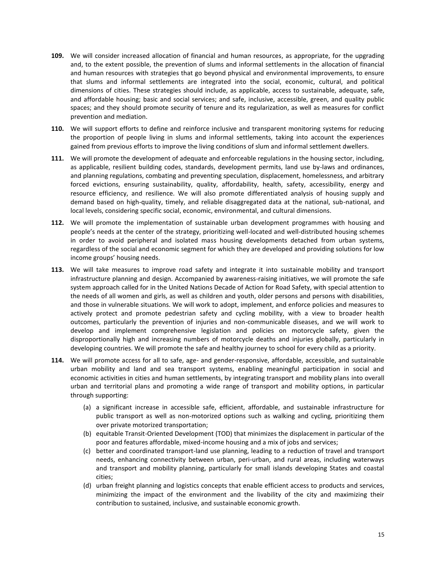- **109.** We will consider increased allocation of financial and human resources, as appropriate, for the upgrading and, to the extent possible, the prevention of slums and informal settlements in the allocation of financial and human resources with strategies that go beyond physical and environmental improvements, to ensure that slums and informal settlements are integrated into the social, economic, cultural, and political dimensions of cities. These strategies should include, as applicable, access to sustainable, adequate, safe, and affordable housing; basic and social services; and safe, inclusive, accessible, green, and quality public spaces; and they should promote security of tenure and its regularization, as well as measures for conflict prevention and mediation.
- **110.** We will support efforts to define and reinforce inclusive and transparent monitoring systems for reducing the proportion of people living in slums and informal settlements, taking into account the experiences gained from previous efforts to improve the living conditions of slum and informal settlement dwellers.
- **111.** We will promote the development of adequate and enforceable regulations in the housing sector, including, as applicable, resilient building codes, standards, development permits, land use by-laws and ordinances, and planning regulations, combating and preventing speculation, displacement, homelessness, and arbitrary forced evictions, ensuring sustainability, quality, affordability, health, safety, accessibility, energy and resource efficiency, and resilience. We will also promote differentiated analysis of housing supply and demand based on high-quality, timely, and reliable disaggregated data at the national, sub-national, and local levels, considering specific social, economic, environmental, and cultural dimensions.
- **112.** We will promote the implementation of sustainable urban development programmes with housing and people's needs at the center of the strategy, prioritizing well-located and well-distributed housing schemes in order to avoid peripheral and isolated mass housing developments detached from urban systems, regardless of the social and economic segment for which they are developed and providing solutions for low income groups' housing needs.
- **113.** We will take measures to improve road safety and integrate it into sustainable mobility and transport infrastructure planning and design. Accompanied by awareness-raising initiatives, we will promote the safe system approach called for in the United Nations Decade of Action for Road Safety, with special attention to the needs of all women and girls, as well as children and youth, older persons and persons with disabilities, and those in vulnerable situations. We will work to adopt, implement, and enforce policies and measures to actively protect and promote pedestrian safety and cycling mobility, with a view to broader health outcomes, particularly the prevention of injuries and non-communicable diseases, and we will work to develop and implement comprehensive legislation and policies on motorcycle safety, given the disproportionally high and increasing numbers of motorcycle deaths and injuries globally, particularly in developing countries. We will promote the safe and healthy journey to school for every child as a priority.
- **114.** We will promote access for all to safe, age- and gender-responsive, affordable, accessible, and sustainable urban mobility and land and sea transport systems, enabling meaningful participation in social and economic activities in cities and human settlements, by integrating transport and mobility plans into overall urban and territorial plans and promoting a wide range of transport and mobility options, in particular through supporting:
	- (a) a significant increase in accessible safe, efficient, affordable, and sustainable infrastructure for public transport as well as non-motorized options such as walking and cycling, prioritizing them over private motorized transportation;
	- (b) equitable Transit-Oriented Development (TOD) that minimizes the displacement in particular of the poor and features affordable, mixed-income housing and a mix of jobs and services;
	- (c) better and coordinated transport-land use planning, leading to a reduction of travel and transport needs, enhancing connectivity between urban, peri-urban, and rural areas, including waterways and transport and mobility planning, particularly for small islands developing States and coastal cities;
	- (d) urban freight planning and logistics concepts that enable efficient access to products and services, minimizing the impact of the environment and the livability of the city and maximizing their contribution to sustained, inclusive, and sustainable economic growth.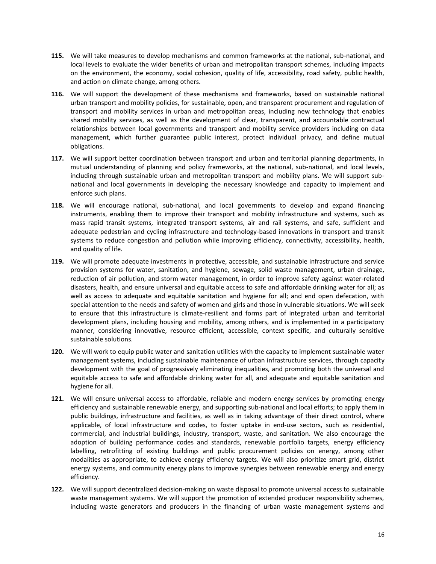- **115.** We will take measures to develop mechanisms and common frameworks at the national, sub-national, and local levels to evaluate the wider benefits of urban and metropolitan transport schemes, including impacts on the environment, the economy, social cohesion, quality of life, accessibility, road safety, public health, and action on climate change, among others.
- **116.** We will support the development of these mechanisms and frameworks, based on sustainable national urban transport and mobility policies, for sustainable, open, and transparent procurement and regulation of transport and mobility services in urban and metropolitan areas, including new technology that enables shared mobility services, as well as the development of clear, transparent, and accountable contractual relationships between local governments and transport and mobility service providers including on data management, which further guarantee public interest, protect individual privacy, and define mutual obligations.
- **117.** We will support better coordination between transport and urban and territorial planning departments, in mutual understanding of planning and policy frameworks, at the national, sub-national, and local levels, including through sustainable urban and metropolitan transport and mobility plans. We will support subnational and local governments in developing the necessary knowledge and capacity to implement and enforce such plans.
- **118.** We will encourage national, sub-national, and local governments to develop and expand financing instruments, enabling them to improve their transport and mobility infrastructure and systems, such as mass rapid transit systems, integrated transport systems, air and rail systems, and safe, sufficient and adequate pedestrian and cycling infrastructure and technology-based innovations in transport and transit systems to reduce congestion and pollution while improving efficiency, connectivity, accessibility, health, and quality of life.
- **119.** We will promote adequate investments in protective, accessible, and sustainable infrastructure and service provision systems for water, sanitation, and hygiene, sewage, solid waste management, urban drainage, reduction of air pollution, and storm water management, in order to improve safety against water-related disasters, health, and ensure universal and equitable access to safe and affordable drinking water for all; as well as access to adequate and equitable sanitation and hygiene for all; and end open defecation, with special attention to the needs and safety of women and girls and those in vulnerable situations. We will seek to ensure that this infrastructure is climate-resilient and forms part of integrated urban and territorial development plans, including housing and mobility, among others, and is implemented in a participatory manner, considering innovative, resource efficient, accessible, context specific, and culturally sensitive sustainable solutions.
- **120.** We will work to equip public water and sanitation utilities with the capacity to implement sustainable water management systems, including sustainable maintenance of urban infrastructure services, through capacity development with the goal of progressively eliminating inequalities, and promoting both the universal and equitable access to safe and affordable drinking water for all, and adequate and equitable sanitation and hygiene for all.
- **121.** We will ensure universal access to affordable, reliable and modern energy services by promoting energy efficiency and sustainable renewable energy, and supporting sub-national and local efforts; to apply them in public buildings, infrastructure and facilities, as well as in taking advantage of their direct control, where applicable, of local infrastructure and codes, to foster uptake in end-use sectors, such as residential, commercial, and industrial buildings, industry, transport, waste, and sanitation. We also encourage the adoption of building performance codes and standards, renewable portfolio targets, energy efficiency labelling, retrofitting of existing buildings and public procurement policies on energy, among other modalities as appropriate, to achieve energy efficiency targets. We will also prioritize smart grid, district energy systems, and community energy plans to improve synergies between renewable energy and energy efficiency.
- **122.** We will support decentralized decision-making on waste disposal to promote universal access to sustainable waste management systems. We will support the promotion of extended producer responsibility schemes, including waste generators and producers in the financing of urban waste management systems and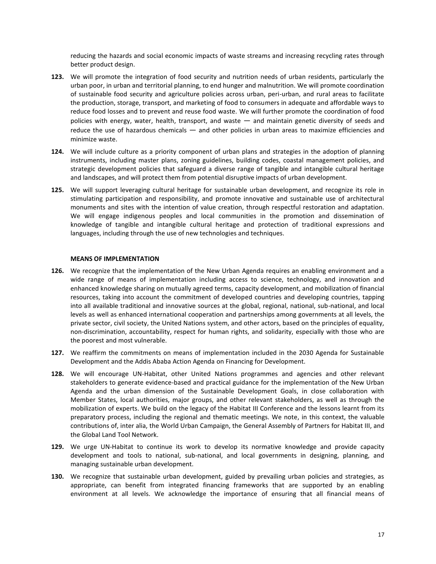reducing the hazards and social economic impacts of waste streams and increasing recycling rates through better product design.

- **123.** We will promote the integration of food security and nutrition needs of urban residents, particularly the urban poor, in urban and territorial planning, to end hunger and malnutrition. We will promote coordination of sustainable food security and agriculture policies across urban, peri-urban, and rural areas to facilitate the production, storage, transport, and marketing of food to consumers in adequate and affordable ways to reduce food losses and to prevent and reuse food waste. We will further promote the coordination of food policies with energy, water, health, transport, and waste — and maintain genetic diversity of seeds and reduce the use of hazardous chemicals — and other policies in urban areas to maximize efficiencies and minimize waste.
- **124.** We will include culture as a priority component of urban plans and strategies in the adoption of planning instruments, including master plans, zoning guidelines, building codes, coastal management policies, and strategic development policies that safeguard a diverse range of tangible and intangible cultural heritage and landscapes, and will protect them from potential disruptive impacts of urban development.
- **125.** We will support leveraging cultural heritage for sustainable urban development, and recognize its role in stimulating participation and responsibility, and promote innovative and sustainable use of architectural monuments and sites with the intention of value creation, through respectful restoration and adaptation. We will engage indigenous peoples and local communities in the promotion and dissemination of knowledge of tangible and intangible cultural heritage and protection of traditional expressions and languages, including through the use of new technologies and techniques.

#### **MEANS OF IMPLEMENTATION**

- **126.** We recognize that the implementation of the New Urban Agenda requires an enabling environment and a wide range of means of implementation including access to science, technology, and innovation and enhanced knowledge sharing on mutually agreed terms, capacity development, and mobilization of financial resources, taking into account the commitment of developed countries and developing countries, tapping into all available traditional and innovative sources at the global, regional, national, sub-national, and local levels as well as enhanced international cooperation and partnerships among governments at all levels, the private sector, civil society, the United Nations system, and other actors, based on the principles of equality, non-discrimination, accountability, respect for human rights, and solidarity, especially with those who are the poorest and most vulnerable.
- **127.** We reaffirm the commitments on means of implementation included in the 2030 Agenda for Sustainable Development and the Addis Ababa Action Agenda on Financing for Development.
- **128.** We will encourage UN-Habitat, other United Nations programmes and agencies and other relevant stakeholders to generate evidence-based and practical guidance for the implementation of the New Urban Agenda and the urban dimension of the Sustainable Development Goals, in close collaboration with Member States, local authorities, major groups, and other relevant stakeholders, as well as through the mobilization of experts. We build on the legacy of the Habitat III Conference and the lessons learnt from its preparatory process, including the regional and thematic meetings. We note, in this context, the valuable contributions of, inter alia, the World Urban Campaign, the General Assembly of Partners for Habitat III, and the Global Land Tool Network.
- **129.** We urge UN-Habitat to continue its work to develop its normative knowledge and provide capacity development and tools to national, sub-national, and local governments in designing, planning, and managing sustainable urban development.
- **130.** We recognize that sustainable urban development, guided by prevailing urban policies and strategies, as appropriate, can benefit from integrated financing frameworks that are supported by an enabling environment at all levels. We acknowledge the importance of ensuring that all financial means of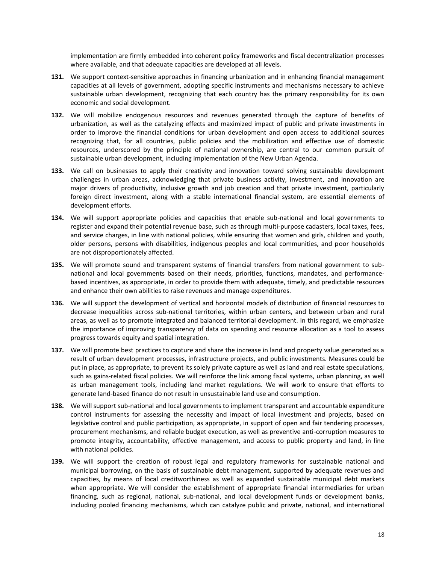implementation are firmly embedded into coherent policy frameworks and fiscal decentralization processes where available, and that adequate capacities are developed at all levels.

- **131.** We support context-sensitive approaches in financing urbanization and in enhancing financial management capacities at all levels of government, adopting specific instruments and mechanisms necessary to achieve sustainable urban development, recognizing that each country has the primary responsibility for its own economic and social development.
- **132.** We will mobilize endogenous resources and revenues generated through the capture of benefits of urbanization, as well as the catalyzing effects and maximized impact of public and private investments in order to improve the financial conditions for urban development and open access to additional sources recognizing that, for all countries, public policies and the mobilization and effective use of domestic resources, underscored by the principle of national ownership, are central to our common pursuit of sustainable urban development, including implementation of the New Urban Agenda.
- **133.** We call on businesses to apply their creativity and innovation toward solving sustainable development challenges in urban areas, acknowledging that private business activity, investment, and innovation are major drivers of productivity, inclusive growth and job creation and that private investment, particularly foreign direct investment, along with a stable international financial system, are essential elements of development efforts.
- **134.** We will support appropriate policies and capacities that enable sub-national and local governments to register and expand their potential revenue base, such as through multi-purpose cadasters, local taxes, fees, and service charges, in line with national policies, while ensuring that women and girls, children and youth, older persons, persons with disabilities, indigenous peoples and local communities, and poor households are not disproportionately affected.
- **135.** We will promote sound and transparent systems of financial transfers from national government to subnational and local governments based on their needs, priorities, functions, mandates, and performancebased incentives, as appropriate, in order to provide them with adequate, timely, and predictable resources and enhance their own abilities to raise revenues and manage expenditures.
- **136.** We will support the development of vertical and horizontal models of distribution of financial resources to decrease inequalities across sub-national territories, within urban centers, and between urban and rural areas, as well as to promote integrated and balanced territorial development. In this regard, we emphasize the importance of improving transparency of data on spending and resource allocation as a tool to assess progress towards equity and spatial integration.
- **137.** We will promote best practices to capture and share the increase in land and property value generated as a result of urban development processes, infrastructure projects, and public investments. Measures could be put in place, as appropriate, to prevent its solely private capture as well as land and real estate speculations, such as gains-related fiscal policies. We will reinforce the link among fiscal systems, urban planning, as well as urban management tools, including land market regulations. We will work to ensure that efforts to generate land-based finance do not result in unsustainable land use and consumption.
- **138.** We will support sub-national and local governments to implement transparent and accountable expenditure control instruments for assessing the necessity and impact of local investment and projects, based on legislative control and public participation, as appropriate, in support of open and fair tendering processes, procurement mechanisms, and reliable budget execution, as well as preventive anti-corruption measures to promote integrity, accountability, effective management, and access to public property and land, in line with national policies.
- **139.** We will support the creation of robust legal and regulatory frameworks for sustainable national and municipal borrowing, on the basis of sustainable debt management, supported by adequate revenues and capacities, by means of local creditworthiness as well as expanded sustainable municipal debt markets when appropriate. We will consider the establishment of appropriate financial intermediaries for urban financing, such as regional, national, sub-national, and local development funds or development banks, including pooled financing mechanisms, which can catalyze public and private, national, and international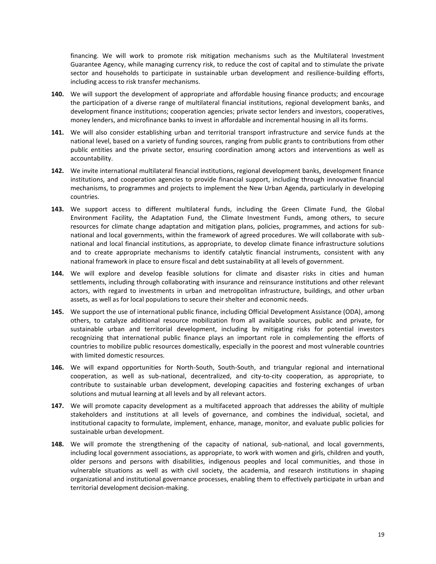financing. We will work to promote risk mitigation mechanisms such as the Multilateral Investment Guarantee Agency, while managing currency risk, to reduce the cost of capital and to stimulate the private sector and households to participate in sustainable urban development and resilience-building efforts, including access to risk transfer mechanisms.

- **140.** We will support the development of appropriate and affordable housing finance products; and encourage the participation of a diverse range of multilateral financial institutions, regional development banks, and development finance institutions; cooperation agencies; private sector lenders and investors, cooperatives, money lenders, and microfinance banks to invest in affordable and incremental housing in all its forms.
- **141.** We will also consider establishing urban and territorial transport infrastructure and service funds at the national level, based on a variety of funding sources, ranging from public grants to contributions from other public entities and the private sector, ensuring coordination among actors and interventions as well as accountability.
- **142.** We invite international multilateral financial institutions, regional development banks, development finance institutions, and cooperation agencies to provide financial support, including through innovative financial mechanisms, to programmes and projects to implement the New Urban Agenda, particularly in developing countries.
- **143.** We support access to different multilateral funds, including the Green Climate Fund, the Global Environment Facility, the Adaptation Fund, the Climate Investment Funds, among others, to secure resources for climate change adaptation and mitigation plans, policies, programmes, and actions for subnational and local governments, within the framework of agreed procedures. We will collaborate with subnational and local financial institutions, as appropriate, to develop climate finance infrastructure solutions and to create appropriate mechanisms to identify catalytic financial instruments, consistent with any national framework in place to ensure fiscal and debt sustainability at all levels of government.
- **144.** We will explore and develop feasible solutions for climate and disaster risks in cities and human settlements, including through collaborating with insurance and reinsurance institutions and other relevant actors, with regard to investments in urban and metropolitan infrastructure, buildings, and other urban assets, as well as for local populations to secure their shelter and economic needs.
- **145.** We support the use of international public finance, including Official Development Assistance (ODA), among others, to catalyze additional resource mobilization from all available sources, public and private, for sustainable urban and territorial development, including by mitigating risks for potential investors recognizing that international public finance plays an important role in complementing the efforts of countries to mobilize public resources domestically, especially in the poorest and most vulnerable countries with limited domestic resources.
- **146.** We will expand opportunities for North-South, South-South, and triangular regional and international cooperation, as well as sub-national, decentralized, and city-to-city cooperation, as appropriate, to contribute to sustainable urban development, developing capacities and fostering exchanges of urban solutions and mutual learning at all levels and by all relevant actors.
- **147.** We will promote capacity development as a multifaceted approach that addresses the ability of multiple stakeholders and institutions at all levels of governance, and combines the individual, societal, and institutional capacity to formulate, implement, enhance, manage, monitor, and evaluate public policies for sustainable urban development.
- **148.** We will promote the strengthening of the capacity of national, sub-national, and local governments, including local government associations, as appropriate, to work with women and girls, children and youth, older persons and persons with disabilities, indigenous peoples and local communities, and those in vulnerable situations as well as with civil society, the academia, and research institutions in shaping organizational and institutional governance processes, enabling them to effectively participate in urban and territorial development decision-making.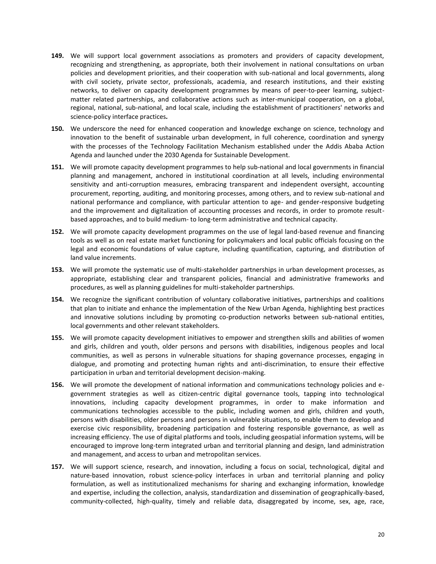- **149.** We will support local government associations as promoters and providers of capacity development, recognizing and strengthening, as appropriate, both their involvement in national consultations on urban policies and development priorities, and their cooperation with sub-national and local governments, along with civil society, private sector, professionals, academia, and research institutions, and their existing networks, to deliver on capacity development programmes by means of peer-to-peer learning, subjectmatter related partnerships, and collaborative actions such as inter-municipal cooperation, on a global, regional, national, sub-national, and local scale, including the establishment of practitioners' networks and science-policy interface practices*.*
- **150.** We underscore the need for enhanced cooperation and knowledge exchange on science, technology and innovation to the benefit of sustainable urban development, in full coherence, coordination and synergy with the processes of the Technology Facilitation Mechanism established under the Addis Ababa Action Agenda and launched under the 2030 Agenda for Sustainable Development.
- **151.** We will promote capacity development programmes to help sub-national and local governments in financial planning and management, anchored in institutional coordination at all levels, including environmental sensitivity and anti-corruption measures, embracing transparent and independent oversight, accounting procurement, reporting, auditing, and monitoring processes, among others, and to review sub-national and national performance and compliance, with particular attention to age- and gender-responsive budgeting and the improvement and digitalization of accounting processes and records, in order to promote resultbased approaches, and to build medium- to long-term administrative and technical capacity.
- **152.** We will promote capacity development programmes on the use of legal land-based revenue and financing tools as well as on real estate market functioning for policymakers and local public officials focusing on the legal and economic foundations of value capture, including quantification, capturing, and distribution of land value increments.
- **153.** We will promote the systematic use of multi-stakeholder partnerships in urban development processes, as appropriate, establishing clear and transparent policies, financial and administrative frameworks and procedures, as well as planning guidelines for multi-stakeholder partnerships.
- **154.** We recognize the significant contribution of voluntary collaborative initiatives, partnerships and coalitions that plan to initiate and enhance the implementation of the New Urban Agenda, highlighting best practices and innovative solutions including by promoting co-production networks between sub-national entities, local governments and other relevant stakeholders.
- **155.** We will promote capacity development initiatives to empower and strengthen skills and abilities of women and girls, children and youth, older persons and persons with disabilities, indigenous peoples and local communities, as well as persons in vulnerable situations for shaping governance processes, engaging in dialogue, and promoting and protecting human rights and anti-discrimination, to ensure their effective participation in urban and territorial development decision-making.
- **156.** We will promote the development of national information and communications technology policies and egovernment strategies as well as citizen-centric digital governance tools, tapping into technological innovations, including capacity development programmes, in order to make information and communications technologies accessible to the public, including women and girls, children and youth, persons with disabilities, older persons and persons in vulnerable situations, to enable them to develop and exercise civic responsibility, broadening participation and fostering responsible governance, as well as increasing efficiency. The use of digital platforms and tools, including geospatial information systems, will be encouraged to improve long-term integrated urban and territorial planning and design, land administration and management, and access to urban and metropolitan services.
- **157.** We will support science, research, and innovation, including a focus on social, technological, digital and nature-based innovation, robust science-policy interfaces in urban and territorial planning and policy formulation, as well as institutionalized mechanisms for sharing and exchanging information, knowledge and expertise, including the collection, analysis, standardization and dissemination of geographically-based, community-collected, high-quality, timely and reliable data, disaggregated by income, sex, age, race,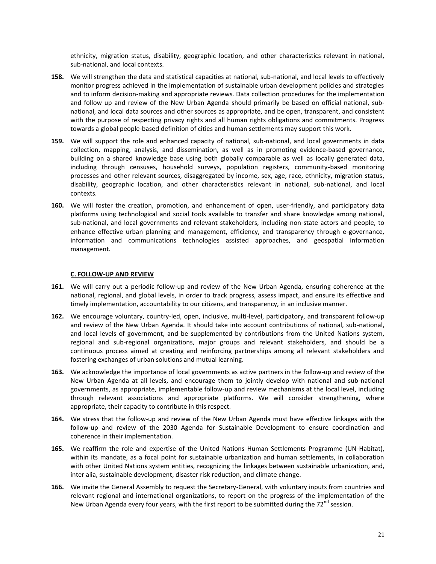ethnicity, migration status, disability, geographic location, and other characteristics relevant in national, sub-national, and local contexts.

- **158.** We will strengthen the data and statistical capacities at national, sub-national, and local levels to effectively monitor progress achieved in the implementation of sustainable urban development policies and strategies and to inform decision-making and appropriate reviews. Data collection procedures for the implementation and follow up and review of the New Urban Agenda should primarily be based on official national, subnational, and local data sources and other sources as appropriate, and be open, transparent, and consistent with the purpose of respecting privacy rights and all human rights obligations and commitments. Progress towards a global people-based definition of cities and human settlements may support this work.
- **159.** We will support the role and enhanced capacity of national, sub-national, and local governments in data collection, mapping, analysis, and dissemination, as well as in promoting evidence-based governance, building on a shared knowledge base using both globally comparable as well as locally generated data, including through censuses, household surveys, population registers, community-based monitoring processes and other relevant sources, disaggregated by income, sex, age, race, ethnicity, migration status, disability, geographic location, and other characteristics relevant in national, sub-national, and local contexts.
- **160.** We will foster the creation, promotion, and enhancement of open, user-friendly, and participatory data platforms using technological and social tools available to transfer and share knowledge among national, sub-national, and local governments and relevant stakeholders, including non-state actors and people, to enhance effective urban planning and management, efficiency, and transparency through e-governance, information and communications technologies assisted approaches, and geospatial information management.

#### **C. FOLLOW-UP AND REVIEW**

- **161.** We will carry out a periodic follow-up and review of the New Urban Agenda, ensuring coherence at the national, regional, and global levels, in order to track progress, assess impact, and ensure its effective and timely implementation, accountability to our citizens, and transparency, in an inclusive manner.
- **162.** We encourage voluntary, country-led, open, inclusive, multi-level, participatory, and transparent follow-up and review of the New Urban Agenda. It should take into account contributions of national, sub-national, and local levels of government, and be supplemented by contributions from the United Nations system, regional and sub-regional organizations, major groups and relevant stakeholders, and should be a continuous process aimed at creating and reinforcing partnerships among all relevant stakeholders and fostering exchanges of urban solutions and mutual learning.
- **163.** We acknowledge the importance of local governments as active partners in the follow-up and review of the New Urban Agenda at all levels, and encourage them to jointly develop with national and sub-national governments, as appropriate, implementable follow-up and review mechanisms at the local level, including through relevant associations and appropriate platforms. We will consider strengthening, where appropriate, their capacity to contribute in this respect.
- **164.** We stress that the follow-up and review of the New Urban Agenda must have effective linkages with the follow-up and review of the 2030 Agenda for Sustainable Development to ensure coordination and coherence in their implementation.
- **165.** We reaffirm the role and expertise of the United Nations Human Settlements Programme (UN-Habitat), within its mandate, as a focal point for sustainable urbanization and human settlements, in collaboration with other United Nations system entities, recognizing the linkages between sustainable urbanization, and, inter alia, sustainable development, disaster risk reduction, and climate change.
- **166.** We invite the General Assembly to request the Secretary-General, with voluntary inputs from countries and relevant regional and international organizations, to report on the progress of the implementation of the New Urban Agenda every four years, with the first report to be submitted during the  $72^{nd}$  session.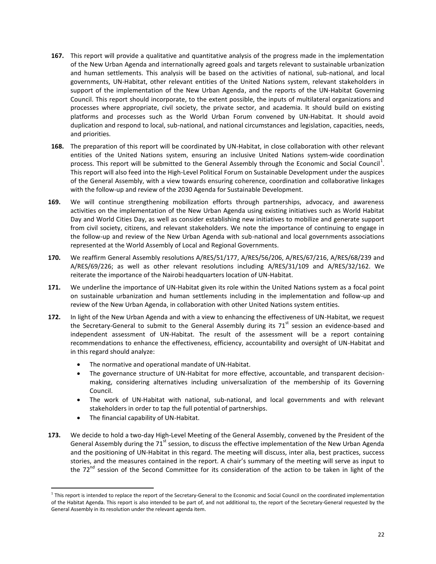- **167.** This report will provide a qualitative and quantitative analysis of the progress made in the implementation of the New Urban Agenda and internationally agreed goals and targets relevant to sustainable urbanization and human settlements. This analysis will be based on the activities of national, sub-national, and local governments, UN-Habitat, other relevant entities of the United Nations system, relevant stakeholders in support of the implementation of the New Urban Agenda, and the reports of the UN-Habitat Governing Council. This report should incorporate, to the extent possible, the inputs of multilateral organizations and processes where appropriate, civil society, the private sector, and academia. It should build on existing platforms and processes such as the World Urban Forum convened by UN-Habitat. It should avoid duplication and respond to local, sub-national, and national circumstances and legislation, capacities, needs, and priorities.
- **168.** The preparation of this report will be coordinated by UN-Habitat, in close collaboration with other relevant entities of the United Nations system, ensuring an inclusive United Nations system-wide coordination process. This report will be submitted to the General Assembly through the Economic and Social Council<sup>1</sup>. This report will also feed into the High-Level Political Forum on Sustainable Development under the auspices of the General Assembly, with a view towards ensuring coherence, coordination and collaborative linkages with the follow-up and review of the 2030 Agenda for Sustainable Development.
- **169.** We will continue strengthening mobilization efforts through partnerships, advocacy, and awareness activities on the implementation of the New Urban Agenda using existing initiatives such as World Habitat Day and World Cities Day, as well as consider establishing new initiatives to mobilize and generate support from civil society, citizens, and relevant stakeholders. We note the importance of continuing to engage in the follow-up and review of the New Urban Agenda with sub-national and local governments associations represented at the World Assembly of Local and Regional Governments.
- **170.** We reaffirm General Assembly resolutions A/RES/51/177, A/RES/56/206, A/RES/67/216, A/RES/68/239 and A/RES/69/226; as well as other relevant resolutions including A/RES/31/109 and A/RES/32/162. We reiterate the importance of the Nairobi headquarters location of UN-Habitat.
- **171.** We underline the importance of UN-Habitat given its role within the United Nations system as a focal point on sustainable urbanization and human settlements including in the implementation and follow-up and review of the New Urban Agenda, in collaboration with other United Nations system entities.
- **172.** In light of the New Urban Agenda and with a view to enhancing the effectiveness of UN-Habitat, we request the Secretary-General to submit to the General Assembly during its  $71<sup>st</sup>$  session an evidence-based and independent assessment of UN-Habitat. The result of the assessment will be a report containing recommendations to enhance the effectiveness, efficiency, accountability and oversight of UN-Habitat and in this regard should analyze:
	- The normative and operational mandate of UN-Habitat.
	- The governance structure of UN-Habitat for more effective, accountable, and transparent decisionmaking, considering alternatives including universalization of the membership of its Governing Council.
	- The work of UN-Habitat with national, sub-national, and local governments and with relevant stakeholders in order to tap the full potential of partnerships.
	- The financial capability of UN-Habitat.

 $\overline{a}$ 

**173.** We decide to hold a two-day High-Level Meeting of the General Assembly, convened by the President of the General Assembly during the 71 $s$ <sup>t</sup> session, to discuss the effective implementation of the New Urban Agenda and the positioning of UN-Habitat in this regard. The meeting will discuss, inter alia, best practices, success stories, and the measures contained in the report. A chair's summary of the meeting will serve as input to the 72<sup>nd</sup> session of the Second Committee for its consideration of the action to be taken in light of the

<sup>&</sup>lt;sup>1</sup> This report is intended to replace the report of the Secretary-General to the Economic and Social Council on the coordinated implementation of the Habitat Agenda. This report is also intended to be part of, and not additional to, the report of the Secretary-General requested by the General Assembly in its resolution under the relevant agenda item.